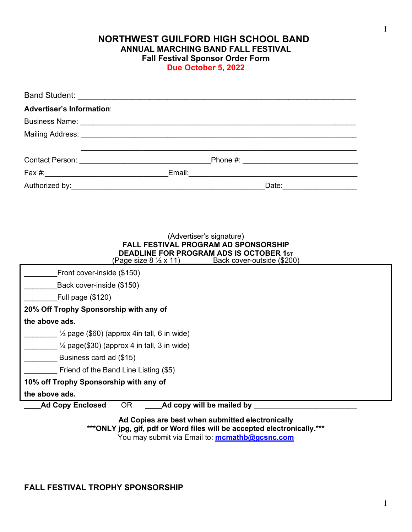**NORTHWEST GUILFORD HIGH SCHOOL BAND ANNUAL MARCHING BAND FALL FESTIVAL Fall Festival Sponsor Order Form Due October 5, 2022**

| <b>Advertiser's Information:</b>                                                                   |                                                                  |  |  |
|----------------------------------------------------------------------------------------------------|------------------------------------------------------------------|--|--|
|                                                                                                    |                                                                  |  |  |
|                                                                                                    |                                                                  |  |  |
|                                                                                                    |                                                                  |  |  |
|                                                                                                    |                                                                  |  |  |
|                                                                                                    |                                                                  |  |  |
|                                                                                                    |                                                                  |  |  |
|                                                                                                    |                                                                  |  |  |
|                                                                                                    |                                                                  |  |  |
|                                                                                                    |                                                                  |  |  |
| (Advertiser's signature)                                                                           |                                                                  |  |  |
| FALL FESTIVAL PROGRAM AD SPONSORSHIP<br>DEADLINE FOR PROGRAM ADS IS OCTOBER 1st                    |                                                                  |  |  |
|                                                                                                    | (Page size $8\frac{1}{2} \times 11$ ) Back cover-outside (\$200) |  |  |
| Front cover-inside (\$150)                                                                         |                                                                  |  |  |
| Back cover-inside (\$150)                                                                          |                                                                  |  |  |
| Full page (\$120)                                                                                  |                                                                  |  |  |
| 20% Off Trophy Sponsorship with any of                                                             |                                                                  |  |  |
| the above ads.                                                                                     |                                                                  |  |  |
| $\frac{1}{2}$ page (\$60) (approx 4in tall, 6 in wide)                                             |                                                                  |  |  |
| $\frac{1}{4}$ page(\$30) (approx 4 in tall, 3 in wide)                                             |                                                                  |  |  |
| Business card ad (\$15)                                                                            |                                                                  |  |  |
| Friend of the Band Line Listing (\$5)                                                              |                                                                  |  |  |
| 10% off Trophy Sponsorship with any of                                                             |                                                                  |  |  |
| the above ads.                                                                                     |                                                                  |  |  |
| Ad copy will be mailed by <b>Administrative Contract Control</b><br>OR.<br><b>Ad Copy Enclosed</b> |                                                                  |  |  |

**Ad Copies are best when submitted electronically \*\*\*ONLY jpg, gif, pdf or Word files will be accepted electronically.\*\*\*** You may submit via Email to: **mcmathb@gcsnc.com**

## **FALL FESTIVAL TROPHY SPONSORSHIP**